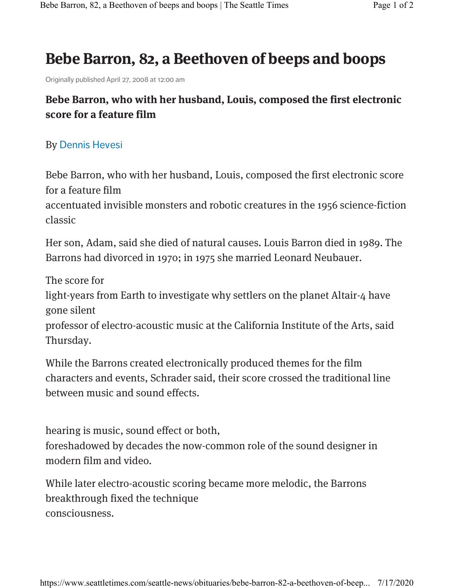## **Bebe Barron, 82, a Beethoven of beeps and boops**

Originally published April 27, 2008 at 12:00 am

## **Bebe Barron, who with her husband, Louis, composed the first electronic score for a feature film**

## By Dennis Hevesi

Bebe Barron, who with her husband, Louis, composed the first electronic score for a feature film

accentuated invisible monsters and robotic creatures in the 1956 science-fiction classic

Her son, Adam, said she died of natural causes. Louis Barron died in 1989. The Barrons had divorced in 1970; in 1975 she married Leonard Neubauer.

The score for

light-years from Earth to investigate why settlers on the planet Altair-4 have gone silent

professor of electro-acoustic music at the California Institute of the Arts, said Thursday.

While the Barrons created electronically produced themes for the film characters and events, Schrader said, their score crossed the traditional line between music and sound effects.

hearing is music, sound effect or both,

foreshadowed by decades the now-common role of the sound designer in modern film and video.

While later electro-acoustic scoring became more melodic, the Barrons breakthrough fixed the technique consciousness.